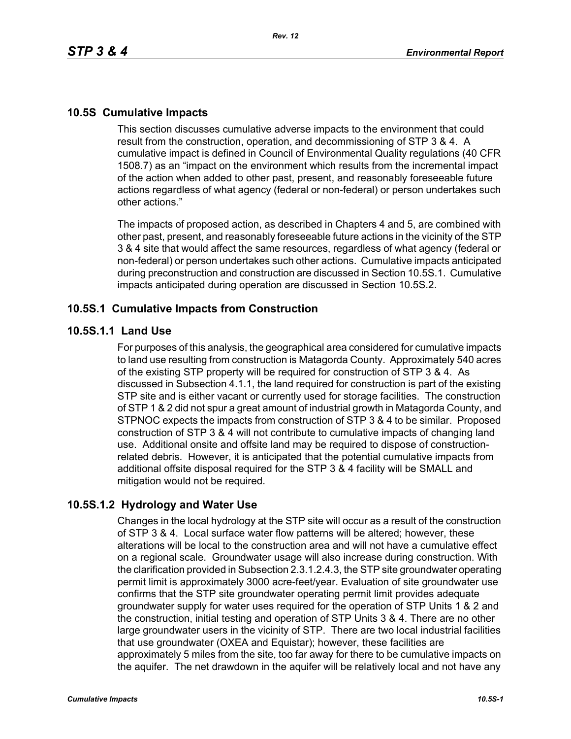## **10.5S Cumulative Impacts**

This section discusses cumulative adverse impacts to the environment that could result from the construction, operation, and decommissioning of STP 3 & 4. A cumulative impact is defined in Council of Environmental Quality regulations (40 CFR 1508.7) as an "impact on the environment which results from the incremental impact of the action when added to other past, present, and reasonably foreseeable future actions regardless of what agency (federal or non-federal) or person undertakes such other actions."

The impacts of proposed action, as described in Chapters 4 and 5, are combined with other past, present, and reasonably foreseeable future actions in the vicinity of the STP 3 & 4 site that would affect the same resources, regardless of what agency (federal or non-federal) or person undertakes such other actions. Cumulative impacts anticipated during preconstruction and construction are discussed in Section 10.5S.1. Cumulative impacts anticipated during operation are discussed in Section 10.5S.2.

### **10.5S.1 Cumulative Impacts from Construction**

#### **10.5S.1.1 Land Use**

For purposes of this analysis, the geographical area considered for cumulative impacts to land use resulting from construction is Matagorda County. Approximately 540 acres of the existing STP property will be required for construction of STP 3 & 4. As discussed in Subsection 4.1.1, the land required for construction is part of the existing STP site and is either vacant or currently used for storage facilities. The construction of STP 1 & 2 did not spur a great amount of industrial growth in Matagorda County, and STPNOC expects the impacts from construction of STP 3 & 4 to be similar. Proposed construction of STP 3 & 4 will not contribute to cumulative impacts of changing land use. Additional onsite and offsite land may be required to dispose of constructionrelated debris. However, it is anticipated that the potential cumulative impacts from additional offsite disposal required for the STP 3 & 4 facility will be SMALL and mitigation would not be required.

## **10.5S.1.2 Hydrology and Water Use**

Changes in the local hydrology at the STP site will occur as a result of the construction of STP 3 & 4. Local surface water flow patterns will be altered; however, these alterations will be local to the construction area and will not have a cumulative effect on a regional scale. Groundwater usage will also increase during construction. With the clarification provided in Subsection 2.3.1.2.4.3, the STP site groundwater operating permit limit is approximately 3000 acre-feet/year. Evaluation of site groundwater use confirms that the STP site groundwater operating permit limit provides adequate groundwater supply for water uses required for the operation of STP Units 1 & 2 and the construction, initial testing and operation of STP Units 3 & 4. There are no other large groundwater users in the vicinity of STP. There are two local industrial facilities that use groundwater (OXEA and Equistar); however, these facilities are approximately 5 miles from the site, too far away for there to be cumulative impacts on the aquifer. The net drawdown in the aquifer will be relatively local and not have any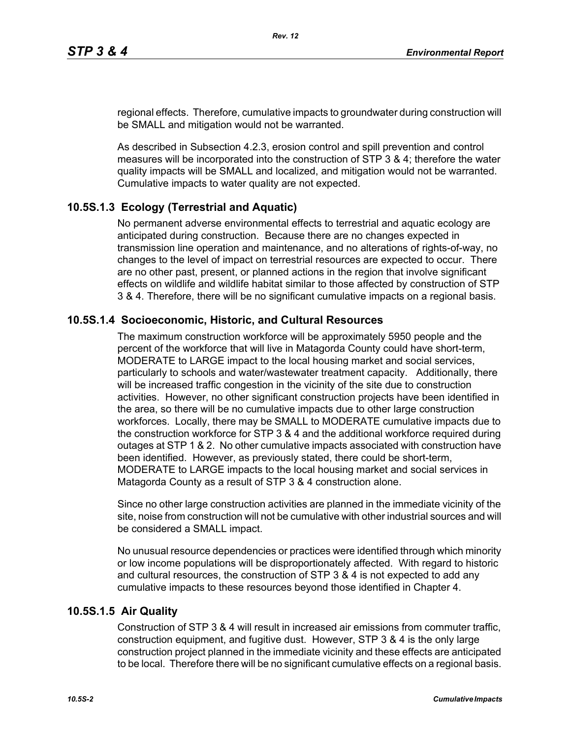regional effects. Therefore, cumulative impacts to groundwater during construction will be SMALL and mitigation would not be warranted.

As described in Subsection 4.2.3, erosion control and spill prevention and control measures will be incorporated into the construction of STP 3 & 4; therefore the water quality impacts will be SMALL and localized, and mitigation would not be warranted. Cumulative impacts to water quality are not expected.

# **10.5S.1.3 Ecology (Terrestrial and Aquatic)**

No permanent adverse environmental effects to terrestrial and aquatic ecology are anticipated during construction. Because there are no changes expected in transmission line operation and maintenance, and no alterations of rights-of-way, no changes to the level of impact on terrestrial resources are expected to occur. There are no other past, present, or planned actions in the region that involve significant effects on wildlife and wildlife habitat similar to those affected by construction of STP 3 & 4. Therefore, there will be no significant cumulative impacts on a regional basis.

## **10.5S.1.4 Socioeconomic, Historic, and Cultural Resources**

The maximum construction workforce will be approximately 5950 people and the percent of the workforce that will live in Matagorda County could have short-term, MODERATE to LARGE impact to the local housing market and social services, particularly to schools and water/wastewater treatment capacity. Additionally, there will be increased traffic congestion in the vicinity of the site due to construction activities. However, no other significant construction projects have been identified in the area, so there will be no cumulative impacts due to other large construction workforces. Locally, there may be SMALL to MODERATE cumulative impacts due to the construction workforce for STP 3 & 4 and the additional workforce required during outages at STP 1 & 2. No other cumulative impacts associated with construction have been identified. However, as previously stated, there could be short-term, MODERATE to LARGE impacts to the local housing market and social services in Matagorda County as a result of STP 3 & 4 construction alone.

Since no other large construction activities are planned in the immediate vicinity of the site, noise from construction will not be cumulative with other industrial sources and will be considered a SMALL impact.

No unusual resource dependencies or practices were identified through which minority or low income populations will be disproportionately affected. With regard to historic and cultural resources, the construction of STP 3 & 4 is not expected to add any cumulative impacts to these resources beyond those identified in Chapter 4.

## **10.5S.1.5 Air Quality**

Construction of STP 3 & 4 will result in increased air emissions from commuter traffic, construction equipment, and fugitive dust. However, STP 3 & 4 is the only large construction project planned in the immediate vicinity and these effects are anticipated to be local. Therefore there will be no significant cumulative effects on a regional basis.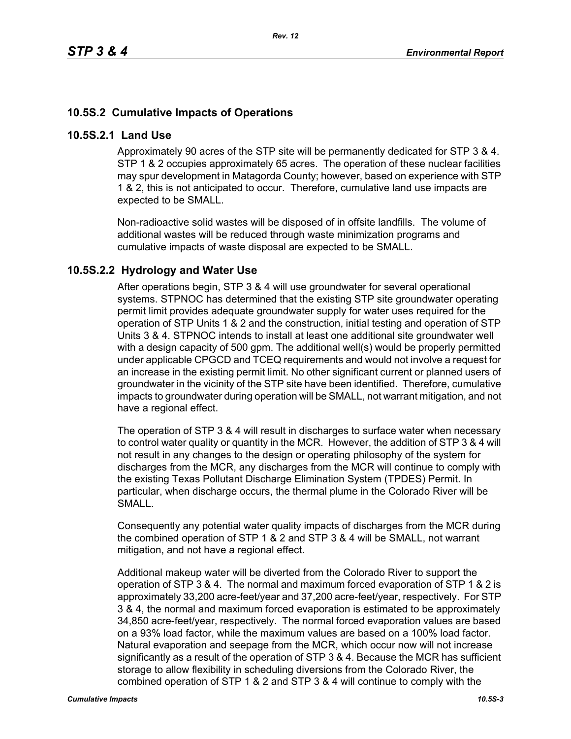# **10.5S.2 Cumulative Impacts of Operations**

#### **10.5S.2.1 Land Use**

Approximately 90 acres of the STP site will be permanently dedicated for STP 3 & 4. STP 1 & 2 occupies approximately 65 acres. The operation of these nuclear facilities may spur development in Matagorda County; however, based on experience with STP 1 & 2, this is not anticipated to occur. Therefore, cumulative land use impacts are expected to be SMALL.

Non-radioactive solid wastes will be disposed of in offsite landfills. The volume of additional wastes will be reduced through waste minimization programs and cumulative impacts of waste disposal are expected to be SMALL.

## **10.5S.2.2 Hydrology and Water Use**

After operations begin, STP 3 & 4 will use groundwater for several operational systems. STPNOC has determined that the existing STP site groundwater operating permit limit provides adequate groundwater supply for water uses required for the operation of STP Units 1 & 2 and the construction, initial testing and operation of STP Units 3 & 4. STPNOC intends to install at least one additional site groundwater well with a design capacity of 500 gpm. The additional well(s) would be properly permitted under applicable CPGCD and TCEQ requirements and would not involve a request for an increase in the existing permit limit. No other significant current or planned users of groundwater in the vicinity of the STP site have been identified. Therefore, cumulative impacts to groundwater during operation will be SMALL, not warrant mitigation, and not have a regional effect.

The operation of STP 3 & 4 will result in discharges to surface water when necessary to control water quality or quantity in the MCR. However, the addition of STP 3 & 4 will not result in any changes to the design or operating philosophy of the system for discharges from the MCR, any discharges from the MCR will continue to comply with the existing Texas Pollutant Discharge Elimination System (TPDES) Permit. In particular, when discharge occurs, the thermal plume in the Colorado River will be SMALL.

Consequently any potential water quality impacts of discharges from the MCR during the combined operation of STP 1 & 2 and STP 3 & 4 will be SMALL, not warrant mitigation, and not have a regional effect.

Additional makeup water will be diverted from the Colorado River to support the operation of STP 3 & 4. The normal and maximum forced evaporation of STP 1 & 2 is approximately 33,200 acre-feet/year and 37,200 acre-feet/year, respectively. For STP 3 & 4, the normal and maximum forced evaporation is estimated to be approximately 34,850 acre-feet/year, respectively. The normal forced evaporation values are based on a 93% load factor, while the maximum values are based on a 100% load factor. Natural evaporation and seepage from the MCR, which occur now will not increase significantly as a result of the operation of STP 3 & 4. Because the MCR has sufficient storage to allow flexibility in scheduling diversions from the Colorado River, the combined operation of STP 1 & 2 and STP 3 & 4 will continue to comply with the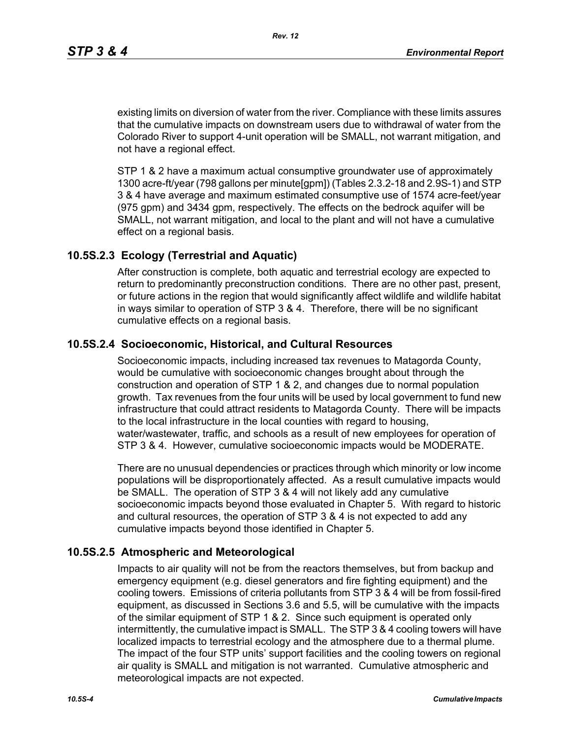existing limits on diversion of water from the river. Compliance with these limits assures that the cumulative impacts on downstream users due to withdrawal of water from the Colorado River to support 4-unit operation will be SMALL, not warrant mitigation, and not have a regional effect.

STP 1 & 2 have a maximum actual consumptive groundwater use of approximately 1300 acre-ft/year (798 gallons per minute[gpm]) (Tables 2.3.2-18 and 2.9S-1) and STP 3 & 4 have average and maximum estimated consumptive use of 1574 acre-feet/year (975 gpm) and 3434 gpm, respectively. The effects on the bedrock aquifer will be SMALL, not warrant mitigation, and local to the plant and will not have a cumulative effect on a regional basis.

### **10.5S.2.3 Ecology (Terrestrial and Aquatic)**

After construction is complete, both aquatic and terrestrial ecology are expected to return to predominantly preconstruction conditions. There are no other past, present, or future actions in the region that would significantly affect wildlife and wildlife habitat in ways similar to operation of STP 3 & 4. Therefore, there will be no significant cumulative effects on a regional basis.

## **10.5S.2.4 Socioeconomic, Historical, and Cultural Resources**

Socioeconomic impacts, including increased tax revenues to Matagorda County, would be cumulative with socioeconomic changes brought about through the construction and operation of STP 1 & 2, and changes due to normal population growth. Tax revenues from the four units will be used by local government to fund new infrastructure that could attract residents to Matagorda County. There will be impacts to the local infrastructure in the local counties with regard to housing, water/wastewater, traffic, and schools as a result of new employees for operation of STP 3 & 4. However, cumulative socioeconomic impacts would be MODERATE.

There are no unusual dependencies or practices through which minority or low income populations will be disproportionately affected. As a result cumulative impacts would be SMALL. The operation of STP 3 & 4 will not likely add any cumulative socioeconomic impacts beyond those evaluated in Chapter 5. With regard to historic and cultural resources, the operation of STP 3 & 4 is not expected to add any cumulative impacts beyond those identified in Chapter 5.

#### **10.5S.2.5 Atmospheric and Meteorological**

Impacts to air quality will not be from the reactors themselves, but from backup and emergency equipment (e.g. diesel generators and fire fighting equipment) and the cooling towers. Emissions of criteria pollutants from STP 3 & 4 will be from fossil-fired equipment, as discussed in Sections 3.6 and 5.5, will be cumulative with the impacts of the similar equipment of STP 1 & 2. Since such equipment is operated only intermittently, the cumulative impact is SMALL. The STP 3 & 4 cooling towers will have localized impacts to terrestrial ecology and the atmosphere due to a thermal plume. The impact of the four STP units' support facilities and the cooling towers on regional air quality is SMALL and mitigation is not warranted. Cumulative atmospheric and meteorological impacts are not expected.